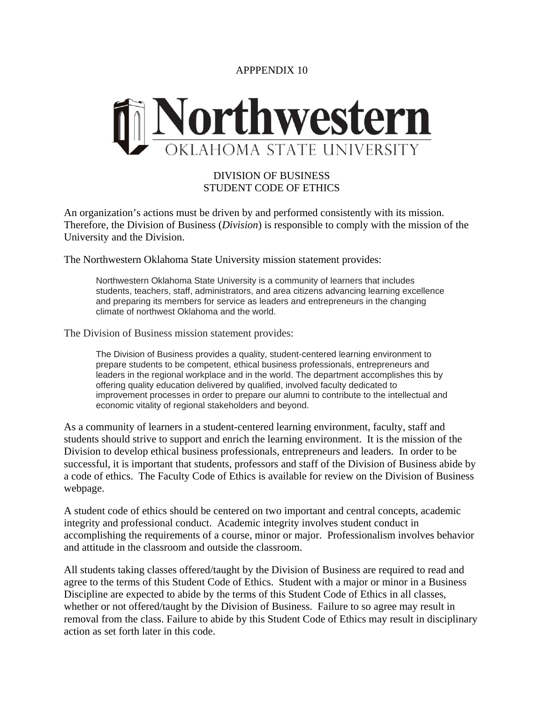APPPENDIX 10



## DIVISION OF BUSINESS STUDENT CODE OF ETHICS

An organization's actions must be driven by and performed consistently with its mission. Therefore, the Division of Business (*Division*) is responsible to comply with the mission of the University and the Division.

The Northwestern Oklahoma State University mission statement provides:

Northwestern Oklahoma State University is a community of learners that includes students, teachers, staff, administrators, and area citizens advancing learning excellence and preparing its members for service as leaders and entrepreneurs in the changing climate of northwest Oklahoma and the world.

The Division of Business mission statement provides:

The Division of Business provides a quality, student-centered learning environment to prepare students to be competent, ethical business professionals, entrepreneurs and leaders in the regional workplace and in the world. The department accomplishes this by offering quality education delivered by qualified, involved faculty dedicated to improvement processes in order to prepare our alumni to contribute to the intellectual and economic vitality of regional stakeholders and beyond.

As a community of learners in a student-centered learning environment, faculty, staff and students should strive to support and enrich the learning environment. It is the mission of the Division to develop ethical business professionals, entrepreneurs and leaders. In order to be successful, it is important that students, professors and staff of the Division of Business abide by a code of ethics. The Faculty Code of Ethics is available for review on the Division of Business webpage.

A student code of ethics should be centered on two important and central concepts, academic integrity and professional conduct. Academic integrity involves student conduct in accomplishing the requirements of a course, minor or major. Professionalism involves behavior and attitude in the classroom and outside the classroom.

All students taking classes offered/taught by the Division of Business are required to read and agree to the terms of this Student Code of Ethics. Student with a major or minor in a Business Discipline are expected to abide by the terms of this Student Code of Ethics in all classes, whether or not offered/taught by the Division of Business. Failure to so agree may result in removal from the class. Failure to abide by this Student Code of Ethics may result in disciplinary action as set forth later in this code.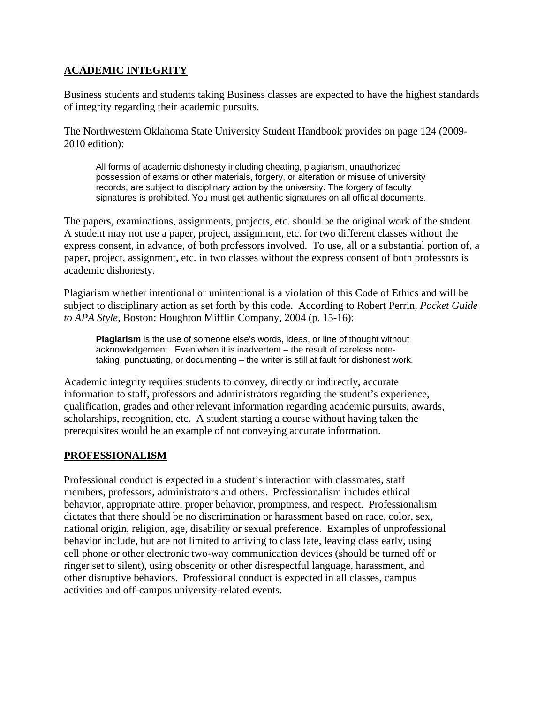## **ACADEMIC INTEGRITY**

Business students and students taking Business classes are expected to have the highest standards of integrity regarding their academic pursuits.

The Northwestern Oklahoma State University Student Handbook provides on page 124 (2009- 2010 edition):

All forms of academic dishonesty including cheating, plagiarism, unauthorized possession of exams or other materials, forgery, or alteration or misuse of university records, are subject to disciplinary action by the university. The forgery of faculty signatures is prohibited. You must get authentic signatures on all official documents.

The papers, examinations, assignments, projects, etc. should be the original work of the student. A student may not use a paper, project, assignment, etc. for two different classes without the express consent, in advance, of both professors involved. To use, all or a substantial portion of, a paper, project, assignment, etc. in two classes without the express consent of both professors is academic dishonesty.

Plagiarism whether intentional or unintentional is a violation of this Code of Ethics and will be subject to disciplinary action as set forth by this code. According to Robert Perrin, *Pocket Guide to APA Style*, Boston: Houghton Mifflin Company, 2004 (p. 15-16):

**Plagiarism** is the use of someone else's words, ideas, or line of thought without acknowledgement. Even when it is inadvertent – the result of careless notetaking, punctuating, or documenting – the writer is still at fault for dishonest work.

Academic integrity requires students to convey, directly or indirectly, accurate information to staff, professors and administrators regarding the student's experience, qualification, grades and other relevant information regarding academic pursuits, awards, scholarships, recognition, etc. A student starting a course without having taken the prerequisites would be an example of not conveying accurate information.

## **PROFESSIONALISM**

Professional conduct is expected in a student's interaction with classmates, staff members, professors, administrators and others. Professionalism includes ethical behavior, appropriate attire, proper behavior, promptness, and respect. Professionalism dictates that there should be no discrimination or harassment based on race, color, sex, national origin, religion, age, disability or sexual preference. Examples of unprofessional behavior include, but are not limited to arriving to class late, leaving class early, using cell phone or other electronic two-way communication devices (should be turned off or ringer set to silent), using obscenity or other disrespectful language, harassment, and other disruptive behaviors. Professional conduct is expected in all classes, campus activities and off-campus university-related events.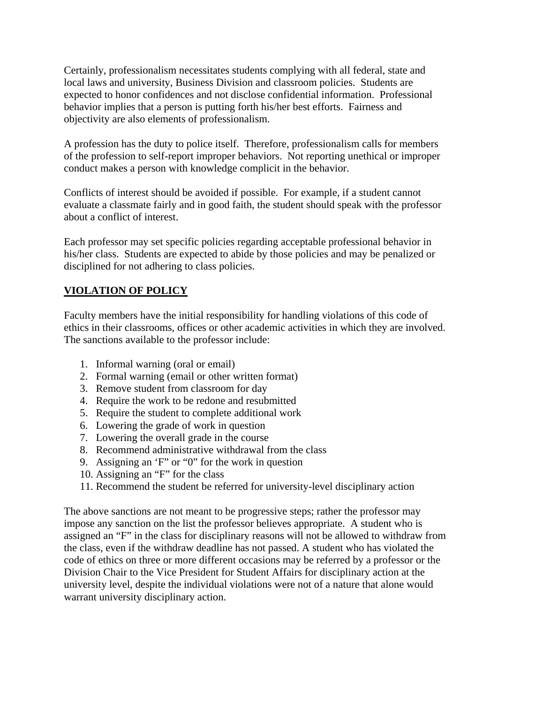Certainly, professionalism necessitates students complying with all federal, state and local laws and university, Business Division and classroom policies. Students are expected to honor confidences and not disclose confidential information. Professional behavior implies that a person is putting forth his/her best efforts. Fairness and objectivity are also elements of professionalism.

A profession has the duty to police itself. Therefore, professionalism calls for members of the profession to self-report improper behaviors. Not reporting unethical or improper conduct makes a person with knowledge complicit in the behavior.

Conflicts of interest should be avoided if possible. For example, if a student cannot evaluate a classmate fairly and in good faith, the student should speak with the professor about a conflict of interest.

Each professor may set specific policies regarding acceptable professional behavior in his/her class. Students are expected to abide by those policies and may be penalized or disciplined for not adhering to class policies.

## **VIOLATION OF POLICY**

Faculty members have the initial responsibility for handling violations of this code of ethics in their classrooms, offices or other academic activities in which they are involved. The sanctions available to the professor include:

- 1. Informal warning (oral or email)
- 2. Formal warning (email or other written format)
- 3. Remove student from classroom for day
- 4. Require the work to be redone and resubmitted
- 5. Require the student to complete additional work
- 6. Lowering the grade of work in question
- 7. Lowering the overall grade in the course
- 8. Recommend administrative withdrawal from the class
- 9. Assigning an 'F" or "0" for the work in question
- 10. Assigning an "F" for the class
- 11. Recommend the student be referred for university-level disciplinary action

The above sanctions are not meant to be progressive steps; rather the professor may impose any sanction on the list the professor believes appropriate. A student who is assigned an "F" in the class for disciplinary reasons will not be allowed to withdraw from the class, even if the withdraw deadline has not passed. A student who has violated the code of ethics on three or more different occasions may be referred by a professor or the Division Chair to the Vice President for Student Affairs for disciplinary action at the university level, despite the individual violations were not of a nature that alone would warrant university disciplinary action.